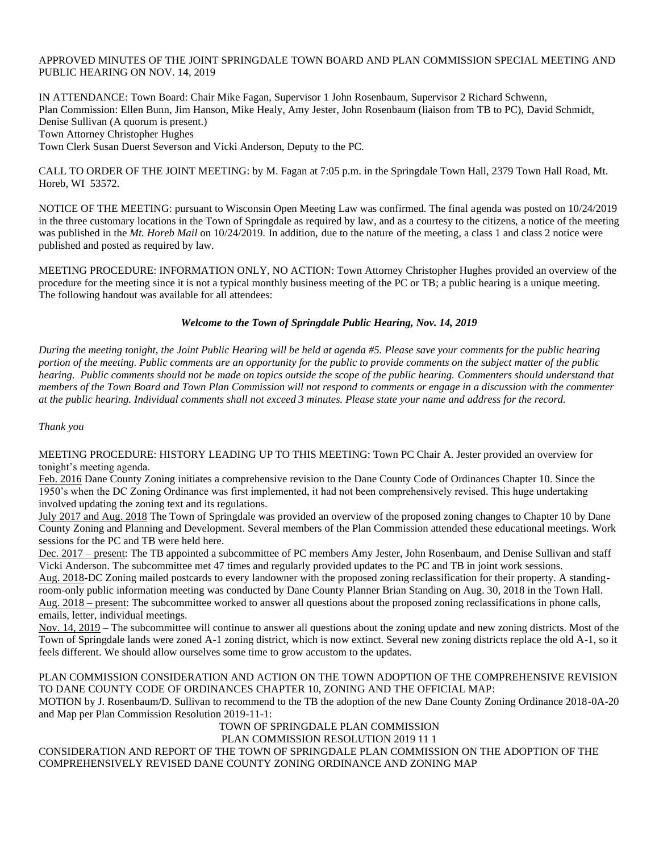## APPROVED MINUTES OF THE JOINT SPRINGDALE TOWN BOARD AND PLAN COMMISSION SPECIAL MEETING AND PUBLIC HEARING ON NOV. 14, 2019

IN ATTENDANCE: Town Board: Chair Mike Fagan, Supervisor 1 John Rosenbaum, Supervisor 2 Richard Schwenn, Plan Commission: Ellen Bunn, Jim Hanson, Mike Healy, Amy Jester, John Rosenbaum (liaison from TB to PC), David Schmidt, Denise Sullivan (A quorum is present.) Town Attorney Christopher Hughes Town Clerk Susan Duerst Severson and Vicki Anderson, Deputy to the PC.

CALL TO ORDER OF THE JOINT MEETING: by M. Fagan at 7:05 p.m. in the Springdale Town Hall, 2379 Town Hall Road, Mt. Horeb, WI 53572.

NOTICE OF THE MEETING: pursuant to Wisconsin Open Meeting Law was confirmed. The final agenda was posted on 10/24/2019 in the three customary locations in the Town of Springdale as required by law, and as a courtesy to the citizens, a notice of the meeting was published in the *Mt. Horeb Mail* on 10/24/2019. In addition, due to the nature of the meeting, a class 1 and class 2 notice were published and posted as required by law.

MEETING PROCEDURE: INFORMATION ONLY, NO ACTION: Town Attorney Christopher Hughes provided an overview of the procedure for the meeting since it is not a typical monthly business meeting of the PC or TB; a public hearing is a unique meeting. The following handout was available for all attendees:

# *Welcome to the Town of Springdale Public Hearing, Nov. 14, 2019*

*During the meeting tonight, the Joint Public Hearing will be held at agenda #5. Please save your comments for the public hearing portion of the meeting. Public comments are an opportunity for the public to provide comments on the subject matter of the public hearing. Public comments should not be made on topics outside the scope of the public hearing. Commenters should understand that members of the Town Board and Town Plan Commission will not respond to comments or engage in a discussion with the commenter at the public hearing. Individual comments shall not exceed 3 minutes. Please state your name and address for the record.* 

## *Thank you*

MEETING PROCEDURE: HISTORY LEADING UP TO THIS MEETING: Town PC Chair A. Jester provided an overview for tonight's meeting agenda.

Feb. 2016 Dane County Zoning initiates a comprehensive revision to the Dane County Code of Ordinances Chapter 10. Since the 1950's when the DC Zoning Ordinance was first implemented, it had not been comprehensively revised. This huge undertaking involved updating the zoning text and its regulations.

July 2017 and Aug. 2018 The Town of Springdale was provided an overview of the proposed zoning changes to Chapter 10 by Dane County Zoning and Planning and Development. Several members of the Plan Commission attended these educational meetings. Work sessions for the PC and TB were held here.

Dec. 2017 – present: The TB appointed a subcommittee of PC members Amy Jester, John Rosenbaum, and Denise Sullivan and staff Vicki Anderson. The subcommittee met 47 times and regularly provided updates to the PC and TB in joint work sessions.

Aug. 2018-DC Zoning mailed postcards to every landowner with the proposed zoning reclassification for their property. A standingroom-only public information meeting was conducted by Dane County Planner Brian Standing on Aug. 30, 2018 in the Town Hall. Aug. 2018 – present: The subcommittee worked to answer all questions about the proposed zoning reclassifications in phone calls, emails, letter, individual meetings.

Nov. 14, 2019 – The subcommittee will continue to answer all questions about the zoning update and new zoning districts. Most of the Town of Springdale lands were zoned A-1 zoning district, which is now extinct. Several new zoning districts replace the old A-1, so it feels different. We should allow ourselves some time to grow accustom to the updates.

PLAN COMMISSION CONSIDERATION AND ACTION ON THE TOWN ADOPTION OF THE COMPREHENSIVE REVISION TO DANE COUNTY CODE OF ORDINANCES CHAPTER 10, ZONING AND THE OFFICIAL MAP: MOTION by J. Rosenbaum/D. Sullivan to recommend to the TB the adoption of the new Dane County Zoning Ordinance 2018-0A-20 and Map per Plan Commission Resolution 2019-11-1:

TOWN OF SPRINGDALE PLAN COMMISSION

PLAN COMMISSION RESOLUTION 2019 11 1

CONSIDERATION AND REPORT OF THE TOWN OF SPRINGDALE PLAN COMMISSION ON THE ADOPTION OF THE COMPREHENSIVELY REVISED DANE COUNTY ZONING ORDINANCE AND ZONING MAP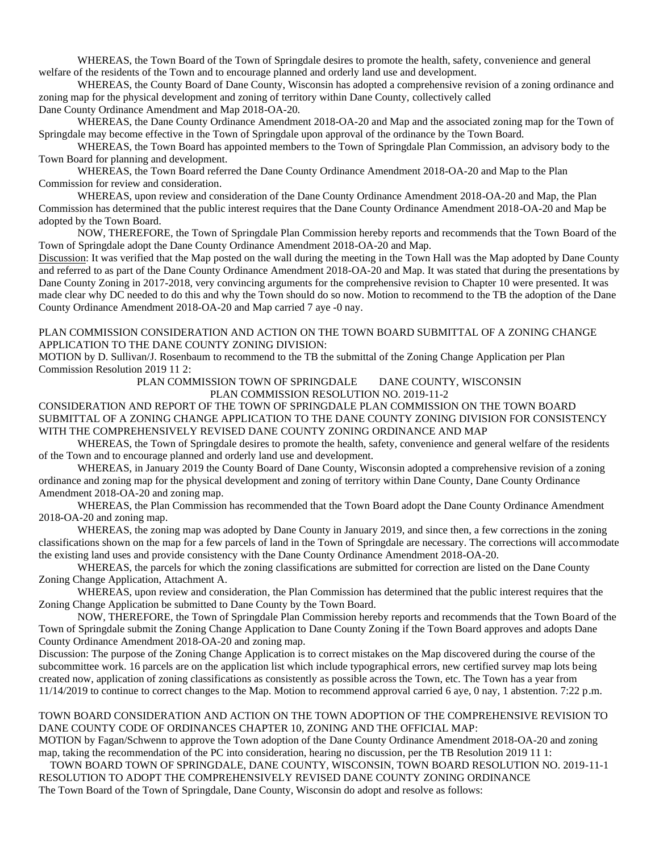WHEREAS, the Town Board of the Town of Springdale desires to promote the health, safety, convenience and general welfare of the residents of the Town and to encourage planned and orderly land use and development.

WHEREAS, the County Board of Dane County, Wisconsin has adopted a comprehensive revision of a zoning ordinance and zoning map for the physical development and zoning of territory within Dane County, collectively called Dane County Ordinance Amendment and Map 2018-OA-20.

WHEREAS, the Dane County Ordinance Amendment 2018-OA-20 and Map and the associated zoning map for the Town of Springdale may become effective in the Town of Springdale upon approval of the ordinance by the Town Board.

WHEREAS, the Town Board has appointed members to the Town of Springdale Plan Commission, an advisory body to the Town Board for planning and development.

WHEREAS, the Town Board referred the Dane County Ordinance Amendment 2018-OA-20 and Map to the Plan Commission for review and consideration.

WHEREAS, upon review and consideration of the Dane County Ordinance Amendment 2018-OA-20 and Map, the Plan Commission has determined that the public interest requires that the Dane County Ordinance Amendment 2018-OA-20 and Map be adopted by the Town Board.

NOW, THEREFORE, the Town of Springdale Plan Commission hereby reports and recommends that the Town Board of the Town of Springdale adopt the Dane County Ordinance Amendment 2018-OA-20 and Map.

Discussion: It was verified that the Map posted on the wall during the meeting in the Town Hall was the Map adopted by Dane County and referred to as part of the Dane County Ordinance Amendment 2018-OA-20 and Map. It was stated that during the presentations by Dane County Zoning in 2017-2018, very convincing arguments for the comprehensive revision to Chapter 10 were presented. It was made clear why DC needed to do this and why the Town should do so now. Motion to recommend to the TB the adoption of the Dane County Ordinance Amendment 2018-OA-20 and Map carried 7 aye -0 nay.

# PLAN COMMISSION CONSIDERATION AND ACTION ON THE TOWN BOARD SUBMITTAL OF A ZONING CHANGE APPLICATION TO THE DANE COUNTY ZONING DIVISION:

MOTION by D. Sullivan/J. Rosenbaum to recommend to the TB the submittal of the Zoning Change Application per Plan Commission Resolution 2019 11 2:

> PLAN COMMISSION TOWN OF SPRINGDALE DANE COUNTY, WISCONSIN PLAN COMMISSION RESOLUTION NO. 2019-11-2

CONSIDERATION AND REPORT OF THE TOWN OF SPRINGDALE PLAN COMMISSION ON THE TOWN BOARD SUBMITTAL OF A ZONING CHANGE APPLICATION TO THE DANE COUNTY ZONING DIVISION FOR CONSISTENCY WITH THE COMPREHENSIVELY REVISED DANE COUNTY ZONING ORDINANCE AND MAP

WHEREAS, the Town of Springdale desires to promote the health, safety, convenience and general welfare of the residents of the Town and to encourage planned and orderly land use and development.

WHEREAS, in January 2019 the County Board of Dane County, Wisconsin adopted a comprehensive revision of a zoning ordinance and zoning map for the physical development and zoning of territory within Dane County, Dane County Ordinance Amendment 2018-OA-20 and zoning map.

WHEREAS, the Plan Commission has recommended that the Town Board adopt the Dane County Ordinance Amendment 2018-OA-20 and zoning map.

WHEREAS, the zoning map was adopted by Dane County in January 2019, and since then, a few corrections in the zoning classifications shown on the map for a few parcels of land in the Town of Springdale are necessary. The corrections will accommodate the existing land uses and provide consistency with the Dane County Ordinance Amendment 2018-OA-20.

WHEREAS, the parcels for which the zoning classifications are submitted for correction are listed on the Dane County Zoning Change Application, Attachment A.

WHEREAS, upon review and consideration, the Plan Commission has determined that the public interest requires that the Zoning Change Application be submitted to Dane County by the Town Board.

NOW, THEREFORE, the Town of Springdale Plan Commission hereby reports and recommends that the Town Board of the Town of Springdale submit the Zoning Change Application to Dane County Zoning if the Town Board approves and adopts Dane County Ordinance Amendment 2018-OA-20 and zoning map.

Discussion: The purpose of the Zoning Change Application is to correct mistakes on the Map discovered during the course of the subcommittee work. 16 parcels are on the application list which include typographical errors, new certified survey map lots being created now, application of zoning classifications as consistently as possible across the Town, etc. The Town has a year from 11/14/2019 to continue to correct changes to the Map. Motion to recommend approval carried 6 aye, 0 nay, 1 abstention. 7:22 p.m.

## TOWN BOARD CONSIDERATION AND ACTION ON THE TOWN ADOPTION OF THE COMPREHENSIVE REVISION TO DANE COUNTY CODE OF ORDINANCES CHAPTER 10, ZONING AND THE OFFICIAL MAP:

MOTION by Fagan/Schwenn to approve the Town adoption of the Dane County Ordinance Amendment 2018-OA-20 and zoning map, taking the recommendation of the PC into consideration, hearing no discussion, per the TB Resolution 2019 11 1:

TOWN BOARD TOWN OF SPRINGDALE, DANE COUNTY, WISCONSIN, TOWN BOARD RESOLUTION NO. 2019-11-1 RESOLUTION TO ADOPT THE COMPREHENSIVELY REVISED DANE COUNTY ZONING ORDINANCE

The Town Board of the Town of Springdale, Dane County, Wisconsin do adopt and resolve as follows: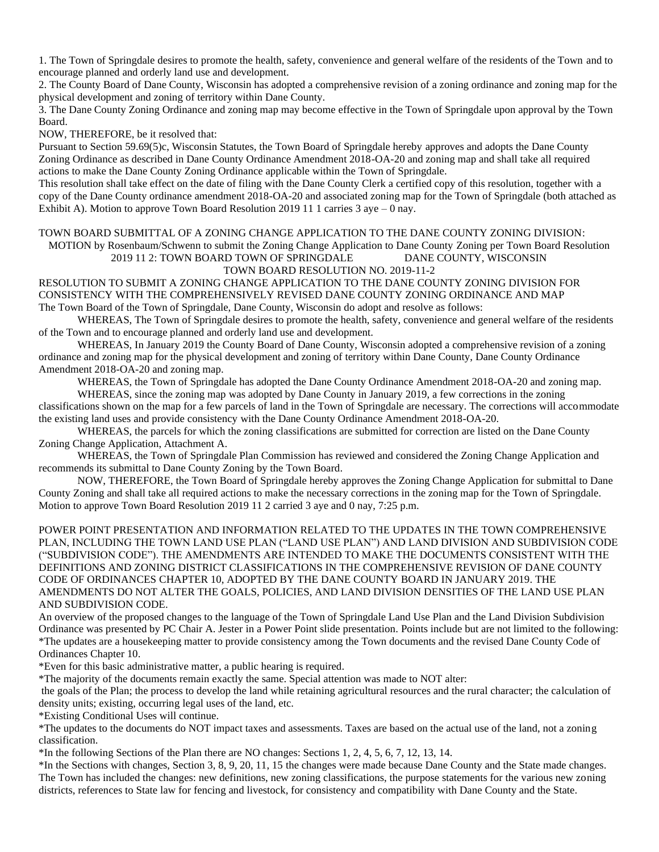1. The Town of Springdale desires to promote the health, safety, convenience and general welfare of the residents of the Town and to encourage planned and orderly land use and development.

2. The County Board of Dane County, Wisconsin has adopted a comprehensive revision of a zoning ordinance and zoning map for the physical development and zoning of territory within Dane County.

3. The Dane County Zoning Ordinance and zoning map may become effective in the Town of Springdale upon approval by the Town Board.

NOW, THEREFORE, be it resolved that:

Pursuant to Section 59.69(5)c, Wisconsin Statutes, the Town Board of Springdale hereby approves and adopts the Dane County Zoning Ordinance as described in Dane County Ordinance Amendment 2018-OA-20 and zoning map and shall take all required actions to make the Dane County Zoning Ordinance applicable within the Town of Springdale.

This resolution shall take effect on the date of filing with the Dane County Clerk a certified copy of this resolution, together with a copy of the Dane County ordinance amendment 2018-OA-20 and associated zoning map for the Town of Springdale (both attached as Exhibit A). Motion to approve Town Board Resolution 2019 11 1 carries 3 aye – 0 nay.

TOWN BOARD SUBMITTAL OF A ZONING CHANGE APPLICATION TO THE DANE COUNTY ZONING DIVISION: MOTION by Rosenbaum/Schwenn to submit the Zoning Change Application to Dane County Zoning per Town Board Resolution

2019 11 2: TOWN BOARD TOWN OF SPRINGDALE DANE COUNTY, WISCONSIN

#### TOWN BOARD RESOLUTION NO. 2019-11-2

RESOLUTION TO SUBMIT A ZONING CHANGE APPLICATION TO THE DANE COUNTY ZONING DIVISION FOR CONSISTENCY WITH THE COMPREHENSIVELY REVISED DANE COUNTY ZONING ORDINANCE AND MAP The Town Board of the Town of Springdale, Dane County, Wisconsin do adopt and resolve as follows:

WHEREAS, The Town of Springdale desires to promote the health, safety, convenience and general welfare of the residents of the Town and to encourage planned and orderly land use and development.

WHEREAS, In January 2019 the County Board of Dane County, Wisconsin adopted a comprehensive revision of a zoning ordinance and zoning map for the physical development and zoning of territory within Dane County, Dane County Ordinance Amendment 2018-OA-20 and zoning map.

WHEREAS, the Town of Springdale has adopted the Dane County Ordinance Amendment 2018-OA-20 and zoning map.

WHEREAS, since the zoning map was adopted by Dane County in January 2019, a few corrections in the zoning classifications shown on the map for a few parcels of land in the Town of Springdale are necessary. The corrections will accommodate the existing land uses and provide consistency with the Dane County Ordinance Amendment 2018-OA-20.

WHEREAS, the parcels for which the zoning classifications are submitted for correction are listed on the Dane County Zoning Change Application, Attachment A.

WHEREAS, the Town of Springdale Plan Commission has reviewed and considered the Zoning Change Application and recommends its submittal to Dane County Zoning by the Town Board.

NOW, THEREFORE, the Town Board of Springdale hereby approves the Zoning Change Application for submittal to Dane County Zoning and shall take all required actions to make the necessary corrections in the zoning map for the Town of Springdale. Motion to approve Town Board Resolution 2019 11 2 carried 3 aye and 0 nay, 7:25 p.m.

POWER POINT PRESENTATION AND INFORMATION RELATED TO THE UPDATES IN THE TOWN COMPREHENSIVE PLAN, INCLUDING THE TOWN LAND USE PLAN ("LAND USE PLAN") AND LAND DIVISION AND SUBDIVISION CODE ("SUBDIVISION CODE"). THE AMENDMENTS ARE INTENDED TO MAKE THE DOCUMENTS CONSISTENT WITH THE DEFINITIONS AND ZONING DISTRICT CLASSIFICATIONS IN THE COMPREHENSIVE REVISION OF DANE COUNTY CODE OF ORDINANCES CHAPTER 10, ADOPTED BY THE DANE COUNTY BOARD IN JANUARY 2019. THE AMENDMENTS DO NOT ALTER THE GOALS, POLICIES, AND LAND DIVISION DENSITIES OF THE LAND USE PLAN AND SUBDIVISION CODE.

An overview of the proposed changes to the language of the Town of Springdale Land Use Plan and the Land Division Subdivision Ordinance was presented by PC Chair A. Jester in a Power Point slide presentation. Points include but are not limited to the following: \*The updates are a housekeeping matter to provide consistency among the Town documents and the revised Dane County Code of Ordinances Chapter 10.

\*Even for this basic administrative matter, a public hearing is required.

\*The majority of the documents remain exactly the same. Special attention was made to NOT alter:

the goals of the Plan; the process to develop the land while retaining agricultural resources and the rural character; the calculation of density units; existing, occurring legal uses of the land, etc.

\*Existing Conditional Uses will continue.

\*The updates to the documents do NOT impact taxes and assessments. Taxes are based on the actual use of the land, not a zoning classification.

\*In the following Sections of the Plan there are NO changes: Sections 1, 2, 4, 5, 6, 7, 12, 13, 14.

\*In the Sections with changes, Section 3, 8, 9, 20, 11, 15 the changes were made because Dane County and the State made changes. The Town has included the changes: new definitions, new zoning classifications, the purpose statements for the various new zoning districts, references to State law for fencing and livestock, for consistency and compatibility with Dane County and the State.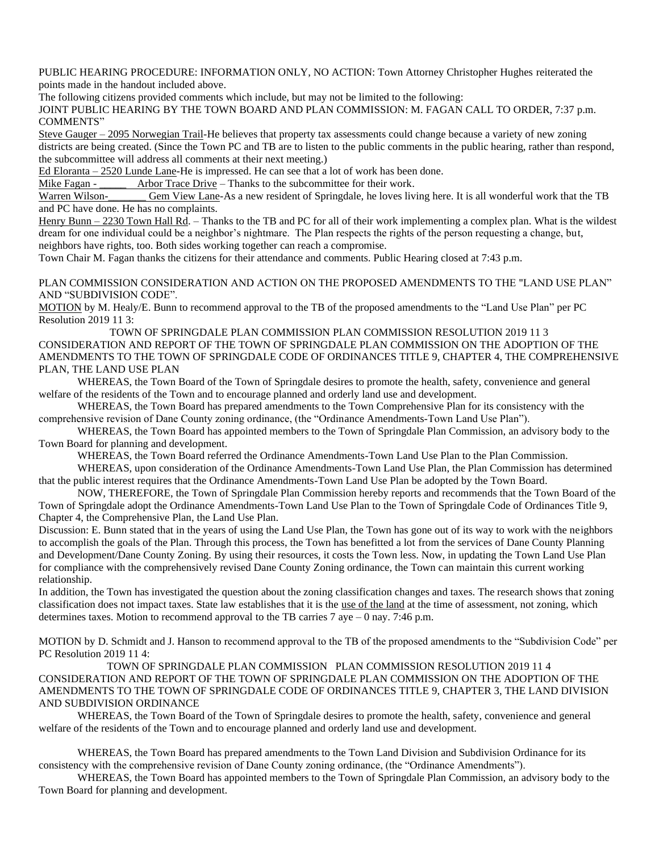PUBLIC HEARING PROCEDURE: INFORMATION ONLY, NO ACTION: Town Attorney Christopher Hughes reiterated the points made in the handout included above.

The following citizens provided comments which include, but may not be limited to the following:

JOINT PUBLIC HEARING BY THE TOWN BOARD AND PLAN COMMISSION: M. FAGAN CALL TO ORDER, 7:37 p.m. COMMENTS"

Steve Gauger – 2095 Norwegian Trail-He believes that property tax assessments could change because a variety of new zoning districts are being created. (Since the Town PC and TB are to listen to the public comments in the public hearing, rather than respond, the subcommittee will address all comments at their next meeting.)

Ed Eloranta – 2520 Lunde Lane-He is impressed. He can see that a lot of work has been done.

Mike Fagan - \_\_\_\_\_\_\_ Arbor Trace Drive – Thanks to the subcommittee for their work.

Warren Wilson-<br>
Gem View Lane-As a new resident of Springdale, he loves living here. It is all wonderful work that the TB and PC have done. He has no complaints.

Henry Bunn – 2230 Town Hall Rd. – Thanks to the TB and PC for all of their work implementing a complex plan. What is the wildest dream for one individual could be a neighbor's nightmare. The Plan respects the rights of the person requesting a change, but, neighbors have rights, too. Both sides working together can reach a compromise.

Town Chair M. Fagan thanks the citizens for their attendance and comments. Public Hearing closed at 7:43 p.m.

PLAN COMMISSION CONSIDERATION AND ACTION ON THE PROPOSED AMENDMENTS TO THE "LAND USE PLAN" AND "SUBDIVISION CODE".

MOTION by M. Healy/E. Bunn to recommend approval to the TB of the proposed amendments to the "Land Use Plan" per PC Resolution 2019 11 3:

TOWN OF SPRINGDALE PLAN COMMISSION PLAN COMMISSION RESOLUTION 2019 11 3 CONSIDERATION AND REPORT OF THE TOWN OF SPRINGDALE PLAN COMMISSION ON THE ADOPTION OF THE AMENDMENTS TO THE TOWN OF SPRINGDALE CODE OF ORDINANCES TITLE 9, CHAPTER 4, THE COMPREHENSIVE PLAN, THE LAND USE PLAN

WHEREAS, the Town Board of the Town of Springdale desires to promote the health, safety, convenience and general welfare of the residents of the Town and to encourage planned and orderly land use and development.

WHEREAS, the Town Board has prepared amendments to the Town Comprehensive Plan for its consistency with the comprehensive revision of Dane County zoning ordinance, (the "Ordinance Amendments-Town Land Use Plan").

WHEREAS, the Town Board has appointed members to the Town of Springdale Plan Commission, an advisory body to the Town Board for planning and development.

WHEREAS, the Town Board referred the Ordinance Amendments-Town Land Use Plan to the Plan Commission.

WHEREAS, upon consideration of the Ordinance Amendments-Town Land Use Plan, the Plan Commission has determined that the public interest requires that the Ordinance Amendments-Town Land Use Plan be adopted by the Town Board.

NOW, THEREFORE, the Town of Springdale Plan Commission hereby reports and recommends that the Town Board of the Town of Springdale adopt the Ordinance Amendments-Town Land Use Plan to the Town of Springdale Code of Ordinances Title 9, Chapter 4, the Comprehensive Plan, the Land Use Plan.

Discussion: E. Bunn stated that in the years of using the Land Use Plan, the Town has gone out of its way to work with the neighbors to accomplish the goals of the Plan. Through this process, the Town has benefitted a lot from the services of Dane County Planning and Development/Dane County Zoning. By using their resources, it costs the Town less. Now, in updating the Town Land Use Plan for compliance with the comprehensively revised Dane County Zoning ordinance, the Town can maintain this current working relationship.

In addition, the Town has investigated the question about the zoning classification changes and taxes. The research shows that zoning classification does not impact taxes. State law establishes that it is the use of the land at the time of assessment, not zoning, which determines taxes. Motion to recommend approval to the TB carries 7 aye – 0 nay. 7:46 p.m.

MOTION by D. Schmidt and J. Hanson to recommend approval to the TB of the proposed amendments to the "Subdivision Code" per PC Resolution 2019 11 4:

TOWN OF SPRINGDALE PLAN COMMISSION PLAN COMMISSION RESOLUTION 2019 11 4 CONSIDERATION AND REPORT OF THE TOWN OF SPRINGDALE PLAN COMMISSION ON THE ADOPTION OF THE AMENDMENTS TO THE TOWN OF SPRINGDALE CODE OF ORDINANCES TITLE 9, CHAPTER 3, THE LAND DIVISION AND SUBDIVISION ORDINANCE

WHEREAS, the Town Board of the Town of Springdale desires to promote the health, safety, convenience and general welfare of the residents of the Town and to encourage planned and orderly land use and development.

WHEREAS, the Town Board has prepared amendments to the Town Land Division and Subdivision Ordinance for its consistency with the comprehensive revision of Dane County zoning ordinance, (the "Ordinance Amendments").

WHEREAS, the Town Board has appointed members to the Town of Springdale Plan Commission, an advisory body to the Town Board for planning and development.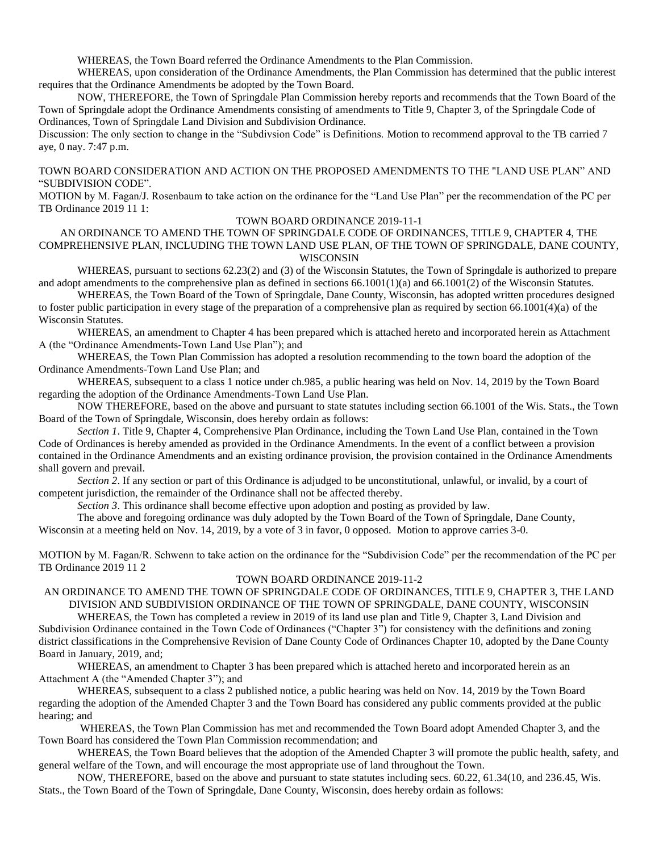WHEREAS, the Town Board referred the Ordinance Amendments to the Plan Commission.

WHEREAS, upon consideration of the Ordinance Amendments, the Plan Commission has determined that the public interest requires that the Ordinance Amendments be adopted by the Town Board.

NOW, THEREFORE, the Town of Springdale Plan Commission hereby reports and recommends that the Town Board of the Town of Springdale adopt the Ordinance Amendments consisting of amendments to Title 9, Chapter 3, of the Springdale Code of Ordinances, Town of Springdale Land Division and Subdivision Ordinance.

Discussion: The only section to change in the "Subdivsion Code" is Definitions. Motion to recommend approval to the TB carried 7 aye, 0 nay. 7:47 p.m.

### TOWN BOARD CONSIDERATION AND ACTION ON THE PROPOSED AMENDMENTS TO THE "LAND USE PLAN" AND "SUBDIVISION CODE".

MOTION by M. Fagan/J. Rosenbaum to take action on the ordinance for the "Land Use Plan" per the recommendation of the PC per TB Ordinance 2019 11 1:

#### TOWN BOARD ORDINANCE 2019-11-1

AN ORDINANCE TO AMEND THE TOWN OF SPRINGDALE CODE OF ORDINANCES, TITLE 9, CHAPTER 4, THE COMPREHENSIVE PLAN, INCLUDING THE TOWN LAND USE PLAN, OF THE TOWN OF SPRINGDALE, DANE COUNTY, WISCONSIN

WHEREAS, pursuant to sections 62.23(2) and (3) of the Wisconsin Statutes, the Town of Springdale is authorized to prepare and adopt amendments to the comprehensive plan as defined in sections 66.1001(1)(a) and 66.1001(2) of the Wisconsin Statutes.

WHEREAS, the Town Board of the Town of Springdale, Dane County, Wisconsin, has adopted written procedures designed to foster public participation in every stage of the preparation of a comprehensive plan as required by section 66.1001(4)(a) of the Wisconsin Statutes.

WHEREAS, an amendment to Chapter 4 has been prepared which is attached hereto and incorporated herein as Attachment A (the "Ordinance Amendments-Town Land Use Plan"); and

WHEREAS, the Town Plan Commission has adopted a resolution recommending to the town board the adoption of the Ordinance Amendments-Town Land Use Plan; and

WHEREAS, subsequent to a class 1 notice under ch.985, a public hearing was held on Nov. 14, 2019 by the Town Board regarding the adoption of the Ordinance Amendments-Town Land Use Plan.

NOW THEREFORE, based on the above and pursuant to state statutes including section 66.1001 of the Wis. Stats., the Town Board of the Town of Springdale, Wisconsin, does hereby ordain as follows:

*Section 1*. Title 9, Chapter 4, Comprehensive Plan Ordinance, including the Town Land Use Plan, contained in the Town Code of Ordinances is hereby amended as provided in the Ordinance Amendments. In the event of a conflict between a provision contained in the Ordinance Amendments and an existing ordinance provision, the provision contained in the Ordinance Amendments shall govern and prevail.

*Section 2*. If any section or part of this Ordinance is adjudged to be unconstitutional, unlawful, or invalid, by a court of competent jurisdiction, the remainder of the Ordinance shall not be affected thereby.

*Section 3*. This ordinance shall become effective upon adoption and posting as provided by law.

The above and foregoing ordinance was duly adopted by the Town Board of the Town of Springdale, Dane County, Wisconsin at a meeting held on Nov. 14, 2019, by a vote of 3 in favor, 0 opposed. Motion to approve carries 3-0.

MOTION by M. Fagan/R. Schwenn to take action on the ordinance for the "Subdivision Code" per the recommendation of the PC per TB Ordinance 2019 11 2

#### TOWN BOARD ORDINANCE 2019-11-2

# AN ORDINANCE TO AMEND THE TOWN OF SPRINGDALE CODE OF ORDINANCES, TITLE 9, CHAPTER 3, THE LAND DIVISION AND SUBDIVISION ORDINANCE OF THE TOWN OF SPRINGDALE, DANE COUNTY, WISCONSIN

WHEREAS, the Town has completed a review in 2019 of its land use plan and Title 9, Chapter 3, Land Division and Subdivision Ordinance contained in the Town Code of Ordinances ("Chapter 3") for consistency with the definitions and zoning district classifications in the Comprehensive Revision of Dane County Code of Ordinances Chapter 10, adopted by the Dane County Board in January, 2019, and;

WHEREAS, an amendment to Chapter 3 has been prepared which is attached hereto and incorporated herein as an Attachment A (the "Amended Chapter 3"); and

WHEREAS, subsequent to a class 2 published notice, a public hearing was held on Nov. 14, 2019 by the Town Board regarding the adoption of the Amended Chapter 3 and the Town Board has considered any public comments provided at the public hearing; and

WHEREAS, the Town Plan Commission has met and recommended the Town Board adopt Amended Chapter 3, and the Town Board has considered the Town Plan Commission recommendation; and

WHEREAS, the Town Board believes that the adoption of the Amended Chapter 3 will promote the public health, safety, and general welfare of the Town, and will encourage the most appropriate use of land throughout the Town.

NOW, THEREFORE, based on the above and pursuant to state statutes including secs. 60.22, 61.34(10, and 236.45, Wis. Stats., the Town Board of the Town of Springdale, Dane County, Wisconsin, does hereby ordain as follows: